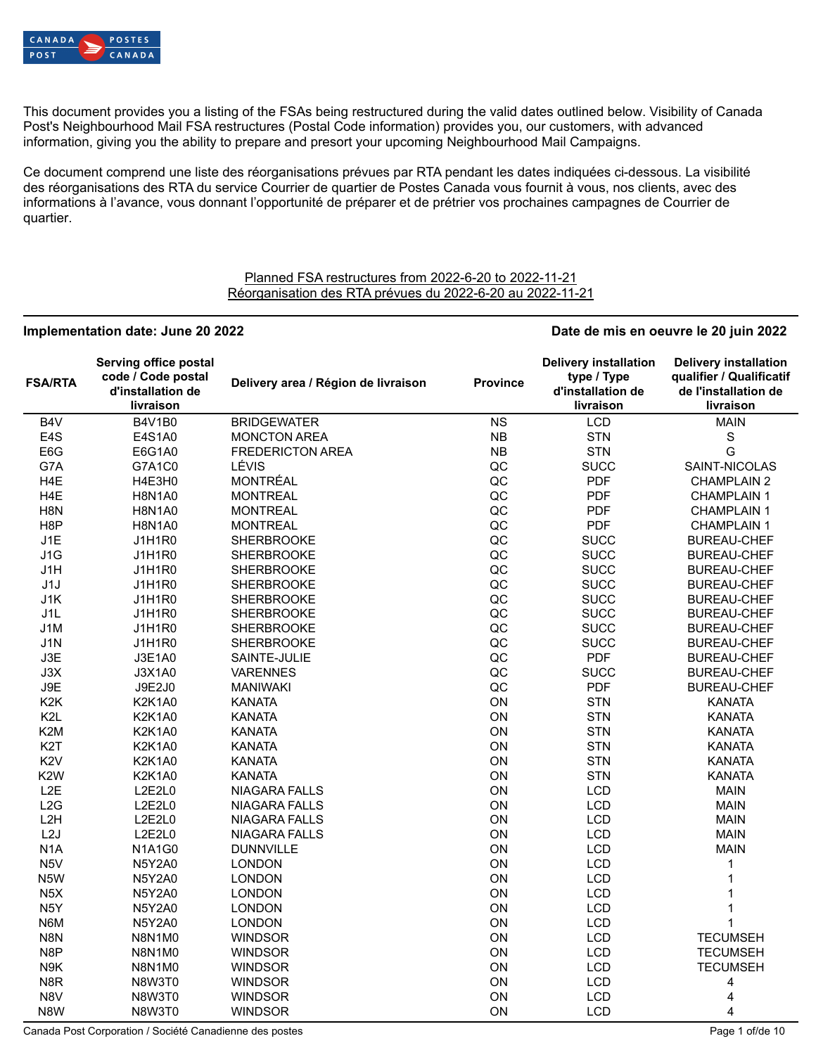

This document provides you a listing of the FSAs being restructured during the valid dates outlined below. Visibility of Canada Post's Neighbourhood Mail FSA restructures (Postal Code information) provides you, our customers, with advanced information, giving you the ability to prepare and presort your upcoming Neighbourhood Mail Campaigns.

Ce document comprend une liste des réorganisations prévues par RTA pendant les dates indiquées ci-dessous. La visibilité des réorganisations des RTA du service Courrier de quartier de Postes Canada vous fournit à vous, nos clients, avec des informations à l'avance, vous donnant l'opportunité de préparer et de prétrier vos prochaines campagnes de Courrier de quartier.

### Planned FSA restructures from 2022-6-20 to 2022-11-21 Réorganisation des RTA prévues du 2022-6-20 au 2022-11-21

| Implementation date: June 20 2022 |                                                                               |                                     |                 | Date de mis en oeuvre le 20 juin 2022                                         |                                                                                               |
|-----------------------------------|-------------------------------------------------------------------------------|-------------------------------------|-----------------|-------------------------------------------------------------------------------|-----------------------------------------------------------------------------------------------|
| <b>FSA/RTA</b>                    | Serving office postal<br>code / Code postal<br>d'installation de<br>livraison | Delivery area / Région de livraison | <b>Province</b> | <b>Delivery installation</b><br>type / Type<br>d'installation de<br>livraison | <b>Delivery installation</b><br>qualifier / Qualificatif<br>de l'installation de<br>livraison |
| B4V                               | <b>B4V1B0</b>                                                                 | <b>BRIDGEWATER</b>                  | <b>NS</b>       | <b>LCD</b>                                                                    | <b>MAIN</b>                                                                                   |
| E <sub>4</sub> S                  | E4S1A0                                                                        | <b>MONCTON AREA</b>                 | NB              | <b>STN</b>                                                                    | $\mathbb S$                                                                                   |
| E6G                               | E6G1A0                                                                        | <b>FREDERICTON AREA</b>             | <b>NB</b>       | <b>STN</b>                                                                    | G                                                                                             |
| G7A                               | G7A1C0                                                                        | LÉVIS                               | QC              | <b>SUCC</b>                                                                   | SAINT-NICOLAS                                                                                 |
| H4E                               | H4E3H0                                                                        | <b>MONTRÉAL</b>                     | QC              | <b>PDF</b>                                                                    | <b>CHAMPLAIN 2</b>                                                                            |
| H <sub>4</sub> E                  | <b>H8N1A0</b>                                                                 | <b>MONTREAL</b>                     | QC              | <b>PDF</b>                                                                    | <b>CHAMPLAIN 1</b>                                                                            |
| H <sub>8</sub> N                  | <b>H8N1A0</b>                                                                 | <b>MONTREAL</b>                     | QC              | <b>PDF</b>                                                                    | <b>CHAMPLAIN 1</b>                                                                            |
| H <sub>8</sub> P                  | <b>H8N1A0</b>                                                                 | <b>MONTREAL</b>                     | QC              | <b>PDF</b>                                                                    | <b>CHAMPLAIN 1</b>                                                                            |
| J1E                               | <b>J1H1R0</b>                                                                 | <b>SHERBROOKE</b>                   | QC              | <b>SUCC</b>                                                                   | <b>BUREAU-CHEF</b>                                                                            |
| J1G                               | <b>J1H1R0</b>                                                                 | <b>SHERBROOKE</b>                   | QC              | <b>SUCC</b>                                                                   | <b>BUREAU-CHEF</b>                                                                            |
| J1H                               | J1H1R0                                                                        | <b>SHERBROOKE</b>                   | QC              | <b>SUCC</b>                                                                   | <b>BUREAU-CHEF</b>                                                                            |
| J1J                               | <b>J1H1R0</b>                                                                 | <b>SHERBROOKE</b>                   | QC              | <b>SUCC</b>                                                                   | <b>BUREAU-CHEF</b>                                                                            |
| J1K                               | <b>J1H1R0</b>                                                                 | <b>SHERBROOKE</b>                   | QC              | <b>SUCC</b>                                                                   | <b>BUREAU-CHEF</b>                                                                            |
| J1L                               | <b>J1H1R0</b>                                                                 | <b>SHERBROOKE</b>                   | QC              | <b>SUCC</b>                                                                   | <b>BUREAU-CHEF</b>                                                                            |
| J1M                               | <b>J1H1R0</b>                                                                 | <b>SHERBROOKE</b>                   | QC              | <b>SUCC</b>                                                                   | <b>BUREAU-CHEF</b>                                                                            |
| J1N                               | <b>J1H1R0</b>                                                                 | <b>SHERBROOKE</b>                   | QC              | <b>SUCC</b>                                                                   | <b>BUREAU-CHEF</b>                                                                            |
| J3E                               | J3E1A0                                                                        | SAINTE-JULIE                        | QC              | <b>PDF</b>                                                                    | <b>BUREAU-CHEF</b>                                                                            |
| J3X                               | <b>J3X1A0</b>                                                                 | <b>VARENNES</b>                     | QC              | <b>SUCC</b>                                                                   | <b>BUREAU-CHEF</b>                                                                            |
| J9E                               | J9E2J0                                                                        | <b>MANIWAKI</b>                     | QC              | <b>PDF</b>                                                                    | <b>BUREAU-CHEF</b>                                                                            |
| K <sub>2</sub> K                  | <b>K2K1A0</b>                                                                 | <b>KANATA</b>                       | ON              | <b>STN</b>                                                                    | <b>KANATA</b>                                                                                 |
| K <sub>2L</sub>                   | <b>K2K1A0</b>                                                                 | <b>KANATA</b>                       | ON              | <b>STN</b>                                                                    | <b>KANATA</b>                                                                                 |
| K <sub>2</sub> M                  | <b>K2K1A0</b>                                                                 | <b>KANATA</b>                       | ON              | <b>STN</b>                                                                    | <b>KANATA</b>                                                                                 |
| K <sub>2</sub> T                  | <b>K2K1A0</b>                                                                 | <b>KANATA</b>                       | ON              | <b>STN</b>                                                                    | <b>KANATA</b>                                                                                 |
| K <sub>2</sub> V                  | <b>K2K1A0</b>                                                                 | <b>KANATA</b>                       | ON              | <b>STN</b>                                                                    | <b>KANATA</b>                                                                                 |
|                                   |                                                                               |                                     |                 |                                                                               |                                                                                               |
| K <sub>2</sub> W                  | <b>K2K1A0</b>                                                                 | <b>KANATA</b>                       | ON              | <b>STN</b>                                                                    | <b>KANATA</b>                                                                                 |
| L <sub>2</sub> E                  | L2E2L0                                                                        | NIAGARA FALLS                       | ON              | <b>LCD</b>                                                                    | <b>MAIN</b>                                                                                   |
| L2G                               | L2E2L0                                                                        | <b>NIAGARA FALLS</b>                | ON              | <b>LCD</b>                                                                    | <b>MAIN</b>                                                                                   |
| L2H                               | L2E2L0                                                                        | NIAGARA FALLS                       | ON              | <b>LCD</b>                                                                    | <b>MAIN</b>                                                                                   |
| L2J                               | L2E2L0                                                                        | <b>NIAGARA FALLS</b>                | ON              | <b>LCD</b>                                                                    | <b>MAIN</b>                                                                                   |
| N <sub>1</sub> A                  | <b>N1A1G0</b>                                                                 | <b>DUNNVILLE</b>                    | ON              | <b>LCD</b>                                                                    | <b>MAIN</b>                                                                                   |
| N <sub>5</sub> V                  | <b>N5Y2A0</b>                                                                 | <b>LONDON</b>                       | ON              | <b>LCD</b>                                                                    | 1                                                                                             |
| N <sub>5</sub> W                  | <b>N5Y2A0</b>                                                                 | <b>LONDON</b>                       | ON              | <b>LCD</b>                                                                    | $\mathbf 1$                                                                                   |
| N <sub>5</sub> X                  | <b>N5Y2A0</b>                                                                 | <b>LONDON</b>                       | ON              | <b>LCD</b>                                                                    | 1                                                                                             |
| N <sub>5</sub> Y                  | <b>N5Y2A0</b>                                                                 | <b>LONDON</b>                       | ON              | <b>LCD</b>                                                                    | 1                                                                                             |
| N6M                               | <b>N5Y2A0</b>                                                                 | <b>LONDON</b>                       | ON              | <b>LCD</b>                                                                    | $\mathbf{1}$                                                                                  |
| N8N                               | N8N1M0                                                                        | <b>WINDSOR</b>                      | ON              | <b>LCD</b>                                                                    | <b>TECUMSEH</b>                                                                               |
| N8P                               | N8N1M0                                                                        | <b>WINDSOR</b>                      | ON              | <b>LCD</b>                                                                    | <b>TECUMSEH</b>                                                                               |
| N9K                               | N8N1M0                                                                        | <b>WINDSOR</b>                      | ON              | <b>LCD</b>                                                                    | <b>TECUMSEH</b>                                                                               |
| N <sub>8</sub> R                  | N8W3T0                                                                        | <b>WINDSOR</b>                      | ON              | <b>LCD</b>                                                                    | 4                                                                                             |
| N8V                               | N8W3T0                                                                        | <b>WINDSOR</b>                      | ON              | <b>LCD</b>                                                                    | 4                                                                                             |
| N8W                               | N8W3T0                                                                        | <b>WINDSOR</b>                      | ON              | <b>LCD</b>                                                                    | 4                                                                                             |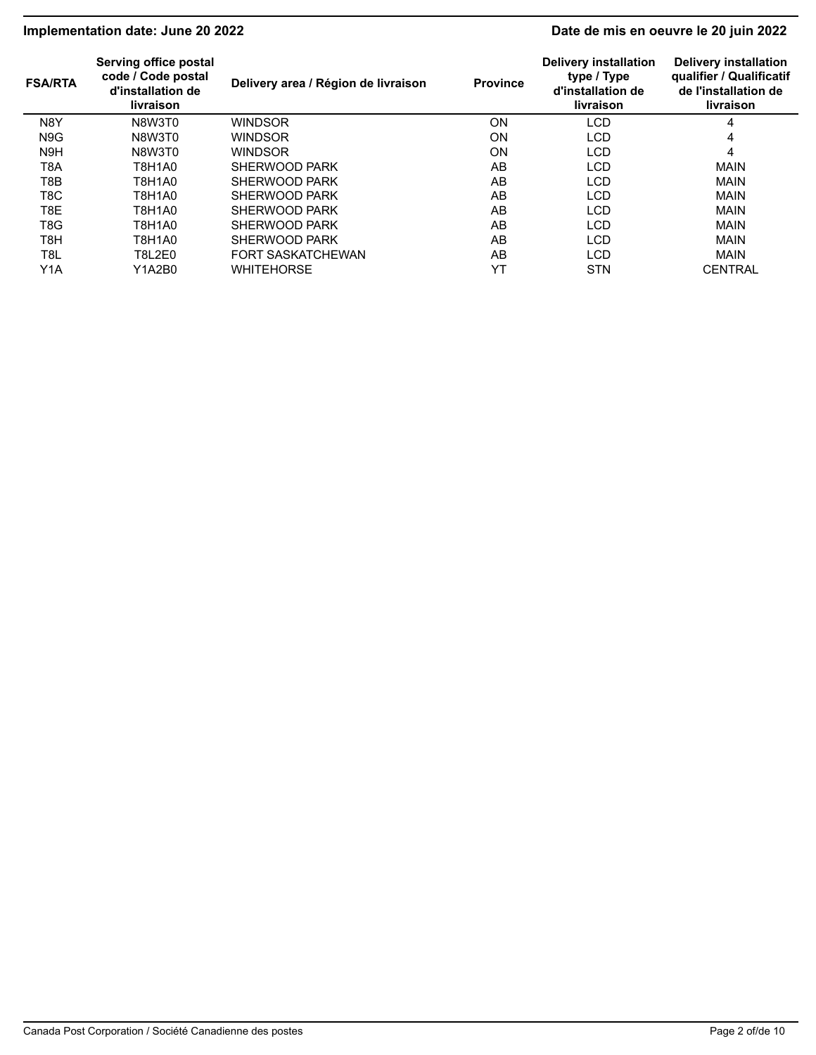# **Implementation date: June 20 2022 Date de mis en oeuvre le 20 juin 2022**

| <b>FSA/RTA</b>   | Serving office postal<br>code / Code postal<br>d'installation de<br>livraison | Delivery area / Région de livraison | <b>Province</b> | <b>Delivery installation</b><br>type / Type<br>d'installation de<br>livraison | <b>Delivery installation</b><br>qualifier / Qualificatif<br>de l'installation de<br>livraison |
|------------------|-------------------------------------------------------------------------------|-------------------------------------|-----------------|-------------------------------------------------------------------------------|-----------------------------------------------------------------------------------------------|
| N8Y              | N8W3T0                                                                        | WINDSOR                             | ON              | LCD                                                                           | 4                                                                                             |
| N <sub>9</sub> G | N8W3T0                                                                        | <b>WINDSOR</b>                      | ON              | <b>LCD</b>                                                                    | 4                                                                                             |
| N <sub>9</sub> H | N8W3T0                                                                        | WINDSOR                             | ON              | LCD                                                                           | 4                                                                                             |
| T8A              | T8H1A0                                                                        | SHERWOOD PARK                       | AB              | <b>LCD</b>                                                                    | <b>MAIN</b>                                                                                   |
| T8B              | T8H1A0                                                                        | SHERWOOD PARK                       | AB              | LCD                                                                           | <b>MAIN</b>                                                                                   |
| T8C.             | T8H1A0                                                                        | SHERWOOD PARK                       | AB              | <b>LCD</b>                                                                    | <b>MAIN</b>                                                                                   |
| T8E              | T8H1A0                                                                        | SHERWOOD PARK                       | AB              | LCD                                                                           | <b>MAIN</b>                                                                                   |
| T8G              | T8H1A0                                                                        | SHERWOOD PARK                       | AB              | <b>LCD</b>                                                                    | <b>MAIN</b>                                                                                   |
| T8H              | T8H1A0                                                                        | SHERWOOD PARK                       | AB              | <b>LCD</b>                                                                    | <b>MAIN</b>                                                                                   |
| T8L              | <b>T8L2E0</b>                                                                 | <b>FORT SASKATCHEWAN</b>            | AB              | <b>LCD</b>                                                                    | <b>MAIN</b>                                                                                   |
| Y1A              | Y1A2B0                                                                        | <b>WHITEHORSE</b>                   | YT              | <b>STN</b>                                                                    | <b>CENTRAL</b>                                                                                |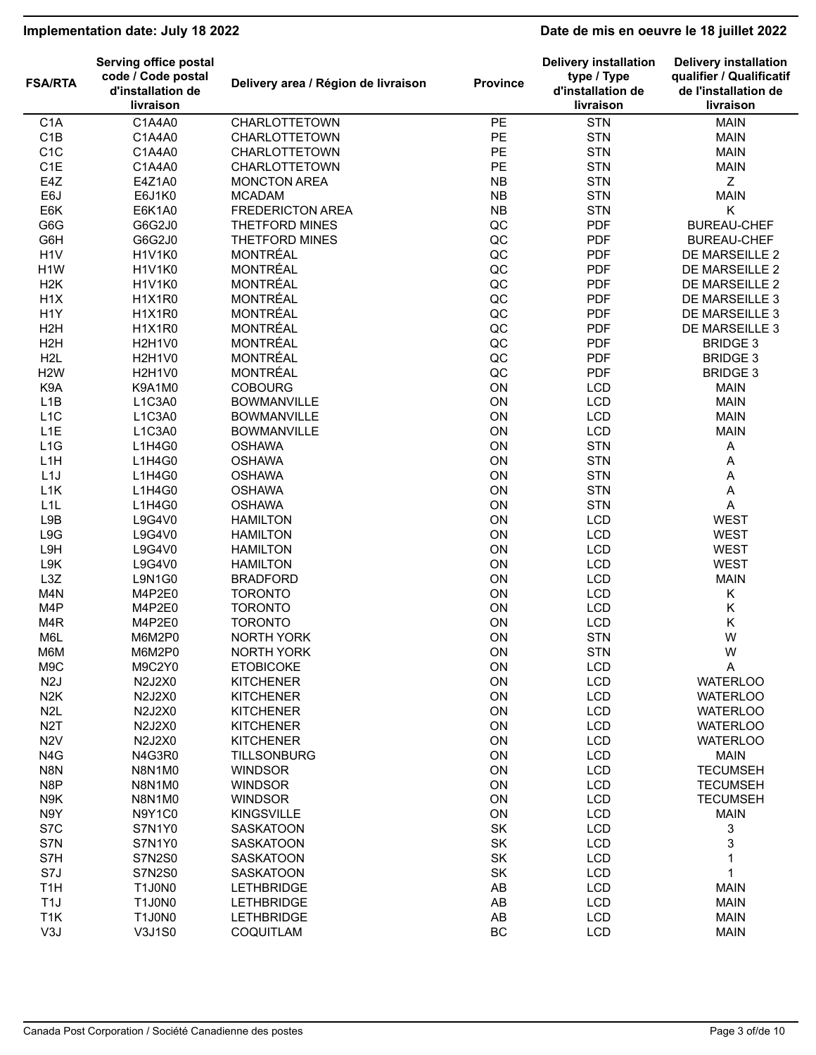# **Implementation date: July 18 2022 Date de mis en oeuvre le 18 juillet 2022**

| <b>FSA/RTA</b>   | Serving office postal<br>code / Code postal<br>d'installation de<br>livraison | Delivery area / Région de livraison | <b>Province</b> | <b>Delivery installation</b><br>type / Type<br>d'installation de<br>livraison | <b>Delivery installation</b><br>qualifier / Qualificatif<br>de l'installation de<br>livraison |
|------------------|-------------------------------------------------------------------------------|-------------------------------------|-----------------|-------------------------------------------------------------------------------|-----------------------------------------------------------------------------------------------|
| C <sub>1</sub> A | C1A4A0                                                                        | CHARLOTTETOWN                       | PE              | <b>STN</b>                                                                    | <b>MAIN</b>                                                                                   |
| C1B              | C1A4A0                                                                        | CHARLOTTETOWN                       | PE              | <b>STN</b>                                                                    | <b>MAIN</b>                                                                                   |
| C <sub>1</sub> C | C1A4A0                                                                        | <b>CHARLOTTETOWN</b>                | PE              | <b>STN</b>                                                                    | <b>MAIN</b>                                                                                   |
| C <sub>1</sub> E | C1A4A0                                                                        | CHARLOTTETOWN                       | PE              | <b>STN</b>                                                                    | <b>MAIN</b>                                                                                   |
| E4Z              | E4Z1A0                                                                        | <b>MONCTON AREA</b>                 | <b>NB</b>       | <b>STN</b>                                                                    | Z                                                                                             |
| E6J              | E6J1K0                                                                        | <b>MCADAM</b>                       | <b>NB</b>       | <b>STN</b>                                                                    | <b>MAIN</b>                                                                                   |
| E6K              | E6K1A0                                                                        | <b>FREDERICTON AREA</b>             | <b>NB</b>       | <b>STN</b>                                                                    | Κ                                                                                             |
| G6G              | G6G2J0                                                                        | THETFORD MINES                      | QC              | <b>PDF</b>                                                                    | <b>BUREAU-CHEF</b>                                                                            |
| G6H              | G6G2J0                                                                        | THETFORD MINES                      | QC              | <b>PDF</b>                                                                    | <b>BUREAU-CHEF</b>                                                                            |
|                  |                                                                               | <b>MONTRÉAL</b>                     | QC              | <b>PDF</b>                                                                    |                                                                                               |
| H <sub>1</sub> V | <b>H1V1K0</b>                                                                 |                                     |                 |                                                                               | DE MARSEILLE 2                                                                                |
| H <sub>1</sub> W | <b>H1V1K0</b>                                                                 | <b>MONTRÉAL</b>                     | QC              | <b>PDF</b>                                                                    | DE MARSEILLE 2                                                                                |
| H <sub>2</sub> K | <b>H1V1K0</b>                                                                 | <b>MONTRÉAL</b>                     | QC              | <b>PDF</b>                                                                    | DE MARSEILLE 2                                                                                |
| H <sub>1</sub> X | H <sub>1</sub> X <sub>1</sub> R <sub>0</sub>                                  | <b>MONTRÉAL</b>                     | QC              | <b>PDF</b>                                                                    | DE MARSEILLE 3                                                                                |
| H <sub>1</sub> Y | <b>H1X1R0</b>                                                                 | <b>MONTRÉAL</b>                     | QC              | <b>PDF</b>                                                                    | DE MARSEILLE 3                                                                                |
| H <sub>2</sub> H | H <sub>1</sub> X <sub>1</sub> R <sub>0</sub>                                  | <b>MONTRÉAL</b>                     | QC              | <b>PDF</b>                                                                    | DE MARSEILLE 3                                                                                |
| H <sub>2</sub> H | <b>H2H1V0</b>                                                                 | <b>MONTRÉAL</b>                     | QC              | <b>PDF</b>                                                                    | <b>BRIDGE 3</b>                                                                               |
| H <sub>2</sub> L | <b>H2H1V0</b>                                                                 | <b>MONTRÉAL</b>                     | QC              | <b>PDF</b>                                                                    | <b>BRIDGE 3</b>                                                                               |
| H <sub>2</sub> W | <b>H2H1V0</b>                                                                 | <b>MONTRÉAL</b>                     | QC              | <b>PDF</b>                                                                    | <b>BRIDGE 3</b>                                                                               |
| K9A              | K9A1M0                                                                        | <b>COBOURG</b>                      | ON              | LCD                                                                           | <b>MAIN</b>                                                                                   |
| L <sub>1</sub> B | L1C3A0                                                                        | <b>BOWMANVILLE</b>                  | ON              | <b>LCD</b>                                                                    | <b>MAIN</b>                                                                                   |
| L <sub>1</sub> C | L1C3A0                                                                        | <b>BOWMANVILLE</b>                  | ON              | <b>LCD</b>                                                                    | <b>MAIN</b>                                                                                   |
| L <sub>1</sub> E | L1C3A0                                                                        | <b>BOWMANVILLE</b>                  | ON              | LCD                                                                           | <b>MAIN</b>                                                                                   |
| L1G              | L1H4G0                                                                        | <b>OSHAWA</b>                       | ON              | <b>STN</b>                                                                    | $\mathsf A$                                                                                   |
| L1H              | L1H4G0                                                                        | <b>OSHAWA</b>                       | ON              | <b>STN</b>                                                                    | Α                                                                                             |
| L1J              | L1H4G0                                                                        | <b>OSHAWA</b>                       | ON              | <b>STN</b>                                                                    | Α                                                                                             |
| L1K              | L1H4G0                                                                        | <b>OSHAWA</b>                       | ON              | <b>STN</b>                                                                    | A                                                                                             |
|                  | L1H4G0                                                                        |                                     | ON              | <b>STN</b>                                                                    |                                                                                               |
| L <sub>1</sub> L |                                                                               | <b>OSHAWA</b>                       | ON              |                                                                               | $\mathsf A$                                                                                   |
| L9B              | L9G4V0                                                                        | <b>HAMILTON</b>                     |                 | LCD                                                                           | <b>WEST</b>                                                                                   |
| L9G              | L9G4V0                                                                        | <b>HAMILTON</b>                     | ON              | LCD                                                                           | <b>WEST</b>                                                                                   |
| L9H              | L9G4V0                                                                        | <b>HAMILTON</b>                     | ON              | <b>LCD</b>                                                                    | <b>WEST</b>                                                                                   |
| L9K              | L9G4V0                                                                        | <b>HAMILTON</b>                     | ON              | LCD                                                                           | <b>WEST</b>                                                                                   |
| L3Z              | L9N1G0                                                                        | <b>BRADFORD</b>                     | ON              | <b>LCD</b>                                                                    | <b>MAIN</b>                                                                                   |
| M4N              | M4P2E0                                                                        | <b>TORONTO</b>                      | ON              | <b>LCD</b>                                                                    | Κ                                                                                             |
| M4P              | M4P2E0                                                                        | <b>TORONTO</b>                      | ON              | <b>LCD</b>                                                                    | Κ                                                                                             |
| M <sub>4</sub> R | M4P2E0                                                                        | <b>TORONTO</b>                      | ON              | LCD                                                                           | Κ                                                                                             |
| M6L              | M6M2P0                                                                        | <b>NORTH YORK</b>                   | ON              | <b>STN</b>                                                                    | W                                                                                             |
| M6M              | M6M2P0                                                                        | NORTH YORK                          | ON              | <b>STN</b>                                                                    | W                                                                                             |
| M9C              | M9C2Y0                                                                        | <b>ETOBICOKE</b>                    | ON              | <b>LCD</b>                                                                    | Α                                                                                             |
| N <sub>2</sub> J | N2J2X0                                                                        | <b>KITCHENER</b>                    | ON              | <b>LCD</b>                                                                    | <b>WATERLOO</b>                                                                               |
| N <sub>2</sub> K | N2J2X0                                                                        | <b>KITCHENER</b>                    | ON              | <b>LCD</b>                                                                    | <b>WATERLOO</b>                                                                               |
| N <sub>2</sub> L | N2J2X0                                                                        | <b>KITCHENER</b>                    | ON              | LCD                                                                           | <b>WATERLOO</b>                                                                               |
| N <sub>2</sub> T | N2J2X0                                                                        | <b>KITCHENER</b>                    | ON              | <b>LCD</b>                                                                    | <b>WATERLOO</b>                                                                               |
| N <sub>2</sub> V | N2J2X0                                                                        | <b>KITCHENER</b>                    | ON              | LCD                                                                           | <b>WATERLOO</b>                                                                               |
| N4G              | N4G3R0                                                                        | <b>TILLSONBURG</b>                  | ON              | LCD                                                                           | <b>MAIN</b>                                                                                   |
| N8N              | <b>N8N1M0</b>                                                                 | <b>WINDSOR</b>                      | ON              | LCD                                                                           | <b>TECUMSEH</b>                                                                               |
|                  |                                                                               |                                     |                 |                                                                               |                                                                                               |
| N8P              | N8N1M0                                                                        | <b>WINDSOR</b>                      | ON              | <b>LCD</b>                                                                    | <b>TECUMSEH</b>                                                                               |
| N9K              | <b>N8N1M0</b>                                                                 | <b>WINDSOR</b>                      | ON              | <b>LCD</b>                                                                    | <b>TECUMSEH</b>                                                                               |
| N9Y              | N9Y1C0                                                                        | <b>KINGSVILLE</b>                   | ON              | LCD                                                                           | <b>MAIN</b>                                                                                   |
| S7C              | S7N1Y0                                                                        | <b>SASKATOON</b>                    | SK              | <b>LCD</b>                                                                    | 3                                                                                             |
| S7N              | S7N1Y0                                                                        | <b>SASKATOON</b>                    | SK              | <b>LCD</b>                                                                    | 3                                                                                             |
| S7H              | <b>S7N2S0</b>                                                                 | <b>SASKATOON</b>                    | SK              | <b>LCD</b>                                                                    | 1                                                                                             |
| S7J              | <b>S7N2S0</b>                                                                 | <b>SASKATOON</b>                    | SK              | <b>LCD</b>                                                                    | $\mathbf{1}$                                                                                  |
| T <sub>1</sub> H | T1J0N0                                                                        | <b>LETHBRIDGE</b>                   | AB              | <b>LCD</b>                                                                    | <b>MAIN</b>                                                                                   |
| T <sub>1</sub> J | <b>T1J0N0</b>                                                                 | <b>LETHBRIDGE</b>                   | AB              | <b>LCD</b>                                                                    | <b>MAIN</b>                                                                                   |
| T <sub>1</sub> K | <b>T1J0N0</b>                                                                 | <b>LETHBRIDGE</b>                   | AB              | LCD                                                                           | <b>MAIN</b>                                                                                   |
| V3J              | V3J1S0                                                                        | COQUITLAM                           | BC              | <b>LCD</b>                                                                    | <b>MAIN</b>                                                                                   |
|                  |                                                                               |                                     |                 |                                                                               |                                                                                               |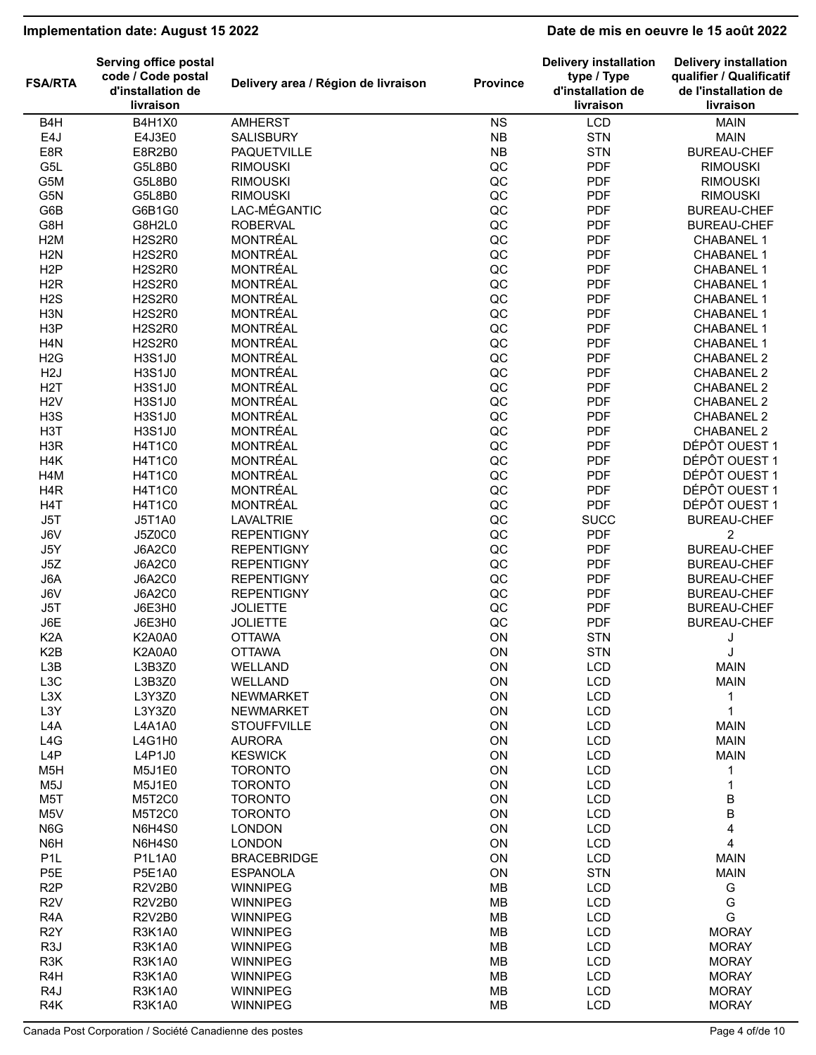# **Implementation date: August 15 2022 Date de mis en oeuvre le 15 août 2022**

| <b>FSA/RTA</b>          | <b>Serving office postal</b><br>code / Code postal<br>d'installation de | Delivery area / Région de livraison | <b>Province</b>            | <b>Delivery installation</b><br>type / Type<br>d'installation de | <b>Delivery installation</b><br>qualifier / Qualificatif<br>de l'installation de |
|-------------------------|-------------------------------------------------------------------------|-------------------------------------|----------------------------|------------------------------------------------------------------|----------------------------------------------------------------------------------|
|                         | livraison                                                               |                                     |                            | livraison                                                        | livraison                                                                        |
| B <sub>4</sub> H        | <b>B4H1X0</b>                                                           | <b>AMHERST</b>                      | <b>NS</b>                  | LCD                                                              | <b>MAIN</b>                                                                      |
| E4J                     | E4J3E0                                                                  | <b>SALISBURY</b>                    | <b>NB</b>                  | <b>STN</b>                                                       | <b>MAIN</b>                                                                      |
| E8R                     | E8R2B0                                                                  | <b>PAQUETVILLE</b>                  | <b>NB</b>                  | <b>STN</b>                                                       | <b>BUREAU-CHEF</b>                                                               |
| G5L                     | G5L8B0                                                                  | <b>RIMOUSKI</b>                     | $_{\rm QC}$                | <b>PDF</b>                                                       | <b>RIMOUSKI</b>                                                                  |
| G5M                     | G5L8B0                                                                  | <b>RIMOUSKI</b>                     | QC                         | <b>PDF</b>                                                       | <b>RIMOUSKI</b>                                                                  |
| G5N                     | G5L8B0                                                                  | <b>RIMOUSKI</b>                     | QC                         | <b>PDF</b>                                                       | <b>RIMOUSKI</b>                                                                  |
| G6B                     | G6B1G0                                                                  | LAC-MÉGANTIC                        | $_{\rm QC}$                | <b>PDF</b>                                                       | <b>BUREAU-CHEF</b>                                                               |
| G8H                     | G8H2L0                                                                  | <b>ROBERVAL</b>                     | QC                         | <b>PDF</b>                                                       | <b>BUREAU-CHEF</b>                                                               |
| H <sub>2</sub> M        | <b>H2S2R0</b>                                                           | <b>MONTRÉAL</b>                     | QC                         | <b>PDF</b>                                                       | <b>CHABANEL 1</b>                                                                |
| H <sub>2</sub> N        | <b>H2S2R0</b>                                                           | <b>MONTRÉAL</b>                     | $_{\rm QC}$                | <b>PDF</b>                                                       | <b>CHABANEL 1</b>                                                                |
| H <sub>2</sub> P        | <b>H2S2R0</b>                                                           | <b>MONTRÉAL</b>                     | QC                         | <b>PDF</b>                                                       | <b>CHABANEL 1</b>                                                                |
| H <sub>2</sub> R        | <b>H2S2R0</b>                                                           | <b>MONTRÉAL</b>                     | $_{\rm QC}$                | <b>PDF</b><br><b>PDF</b>                                         | <b>CHABANEL 1</b>                                                                |
| H2S<br>H <sub>3</sub> N | <b>H2S2R0</b><br><b>H2S2R0</b>                                          | MONTRÉAL<br><b>MONTRÉAL</b>         | $_{\rm QC}$<br>$_{\rm QC}$ | <b>PDF</b>                                                       | <b>CHABANEL 1</b>                                                                |
| H <sub>3</sub> P        | <b>H2S2R0</b>                                                           | <b>MONTRÉAL</b>                     | QC                         | <b>PDF</b>                                                       | <b>CHABANEL 1</b><br><b>CHABANEL 1</b>                                           |
| H <sub>4</sub> N        | <b>H2S2R0</b>                                                           | <b>MONTRÉAL</b>                     | QC                         | <b>PDF</b>                                                       | <b>CHABANEL 1</b>                                                                |
| H2G                     | H3S1J0                                                                  | MONTRÉAL                            | QC                         | <b>PDF</b>                                                       | <b>CHABANEL 2</b>                                                                |
| H <sub>2</sub> J        | H3S1J0                                                                  | <b>MONTRÉAL</b>                     | $_{\rm QC}$                | <b>PDF</b>                                                       | <b>CHABANEL 2</b>                                                                |
| H <sub>2</sub> T        | H3S1J0                                                                  | <b>MONTRÉAL</b>                     | QC                         | <b>PDF</b>                                                       | <b>CHABANEL 2</b>                                                                |
| H <sub>2</sub> V        | H3S1J0                                                                  | <b>MONTRÉAL</b>                     | $_{\rm QC}$                | <b>PDF</b>                                                       | <b>CHABANEL 2</b>                                                                |
| H <sub>3</sub> S        | H3S1J0                                                                  | <b>MONTRÉAL</b>                     | QC                         | <b>PDF</b>                                                       | <b>CHABANEL 2</b>                                                                |
| H <sub>3</sub> T        | H3S1J0                                                                  | <b>MONTRÉAL</b>                     | QC                         | <b>PDF</b>                                                       | <b>CHABANEL 2</b>                                                                |
| H <sub>3</sub> R        | H4T1C0                                                                  | <b>MONTRÉAL</b>                     | $_{\rm QC}$                | <b>PDF</b>                                                       | DÉPÔT OUEST 1                                                                    |
| H4K                     | <b>H4T1C0</b>                                                           | <b>MONTRÉAL</b>                     | QC                         | <b>PDF</b>                                                       | DÉPÔT OUEST 1                                                                    |
| H <sub>4</sub> M        | <b>H4T1C0</b>                                                           | <b>MONTRÉAL</b>                     | QC                         | <b>PDF</b>                                                       | DÉPÔT OUEST 1                                                                    |
| H <sub>4</sub> R        | H4T1C0                                                                  | <b>MONTRÉAL</b>                     | $_{\rm QC}$                | <b>PDF</b>                                                       | DÉPÔT OUEST 1                                                                    |
| H <sub>4</sub> T        | <b>H4T1C0</b>                                                           | <b>MONTRÉAL</b>                     | QC                         | <b>PDF</b>                                                       | DÉPÔT OUEST 1                                                                    |
| J5T                     | <b>J5T1A0</b>                                                           | <b>LAVALTRIE</b>                    | QC                         | <b>SUCC</b>                                                      | <b>BUREAU-CHEF</b>                                                               |
| J6V                     | <b>J5Z0C0</b>                                                           | <b>REPENTIGNY</b>                   | QC                         | <b>PDF</b>                                                       | 2                                                                                |
| J5Y                     | <b>J6A2C0</b>                                                           | <b>REPENTIGNY</b>                   | QC                         | <b>PDF</b>                                                       | <b>BUREAU-CHEF</b>                                                               |
| J5Z                     | <b>J6A2C0</b>                                                           | <b>REPENTIGNY</b>                   | $_{\rm QC}$                | <b>PDF</b>                                                       | <b>BUREAU-CHEF</b>                                                               |
| J6A                     | <b>J6A2C0</b>                                                           | <b>REPENTIGNY</b>                   | $_{\rm QC}$                | <b>PDF</b>                                                       | <b>BUREAU-CHEF</b>                                                               |
| J6V                     | <b>J6A2C0</b>                                                           | <b>REPENTIGNY</b>                   | $_{\rm QC}$                | <b>PDF</b>                                                       | <b>BUREAU-CHEF</b>                                                               |
| J5T                     | J6E3H0                                                                  | <b>JOLIETTE</b>                     | QC                         | <b>PDF</b>                                                       | <b>BUREAU-CHEF</b>                                                               |
| J6E                     | J6E3H0                                                                  | <b>JOLIETTE</b>                     | QC                         | <b>PDF</b>                                                       | <b>BUREAU-CHEF</b>                                                               |
| K <sub>2</sub> A        | <b>K2A0A0</b>                                                           | <b>OTTAWA</b>                       | ON                         | <b>STN</b>                                                       | J                                                                                |
| K <sub>2</sub> B        | <b>K2A0A0</b>                                                           | <b>OTTAWA</b>                       | ON                         | <b>STN</b>                                                       | J<br><b>MAIN</b>                                                                 |
| L3B<br>L3C              | L3B3Z0<br>L3B3Z0                                                        | WELLAND<br>WELLAND                  | ON<br>ON                   | <b>LCD</b><br><b>LCD</b>                                         | <b>MAIN</b>                                                                      |
| L3X                     | L3Y3Z0                                                                  | <b>NEWMARKET</b>                    | ON                         | <b>LCD</b>                                                       | $\mathbf{1}$                                                                     |
| L3Y                     | L3Y3Z0                                                                  | NEWMARKET                           | ON                         | <b>LCD</b>                                                       | 1                                                                                |
| L <sub>4</sub> A        | L4A1A0                                                                  | <b>STOUFFVILLE</b>                  | ON                         | <b>LCD</b>                                                       | <b>MAIN</b>                                                                      |
| L4G                     | L4G1H0                                                                  | <b>AURORA</b>                       | ON                         | <b>LCD</b>                                                       | <b>MAIN</b>                                                                      |
| L4P                     | L4P1J0                                                                  | <b>KESWICK</b>                      | ON                         | <b>LCD</b>                                                       | <b>MAIN</b>                                                                      |
| M <sub>5</sub> H        | M5J1E0                                                                  | <b>TORONTO</b>                      | ON                         | <b>LCD</b>                                                       | 1                                                                                |
| M <sub>5</sub> J        | M5J1E0                                                                  | <b>TORONTO</b>                      | ON                         | <b>LCD</b>                                                       | $\mathbf 1$                                                                      |
| M <sub>5</sub> T        | M5T2C0                                                                  | <b>TORONTO</b>                      | ON                         | <b>LCD</b>                                                       | $\sf B$                                                                          |
| M <sub>5</sub> V        | M5T2C0                                                                  | <b>TORONTO</b>                      | ON                         | <b>LCD</b>                                                       | $\sf B$                                                                          |
| N6G                     | <b>N6H4S0</b>                                                           | <b>LONDON</b>                       | ON                         | <b>LCD</b>                                                       | $\overline{\mathbf{4}}$                                                          |
| N6H                     | <b>N6H4S0</b>                                                           | <b>LONDON</b>                       | ON                         | <b>LCD</b>                                                       | $\overline{\mathbf{4}}$                                                          |
| P <sub>1</sub> L        | P1L1A0                                                                  | <b>BRACEBRIDGE</b>                  | ON                         | <b>LCD</b>                                                       | <b>MAIN</b>                                                                      |
| P <sub>5E</sub>         | <b>P5E1A0</b>                                                           | <b>ESPANOLA</b>                     | ON                         | <b>STN</b>                                                       | <b>MAIN</b>                                                                      |
| R <sub>2</sub> P        | <b>R2V2B0</b>                                                           | <b>WINNIPEG</b>                     | MB                         | <b>LCD</b>                                                       | G                                                                                |
| R <sub>2</sub> V        | <b>R2V2B0</b>                                                           | <b>WINNIPEG</b>                     | MB                         | <b>LCD</b>                                                       | G                                                                                |
| R <sub>4</sub> A        | <b>R2V2B0</b>                                                           | WINNIPEG                            | MB                         | <b>LCD</b>                                                       | G                                                                                |
| R <sub>2</sub> Y        | <b>R3K1A0</b>                                                           | <b>WINNIPEG</b>                     | MB                         | <b>LCD</b>                                                       | <b>MORAY</b>                                                                     |
| R <sub>3</sub> J        | <b>R3K1A0</b>                                                           | <b>WINNIPEG</b>                     | MB                         | <b>LCD</b>                                                       | <b>MORAY</b>                                                                     |
| R3K                     | <b>R3K1A0</b>                                                           | WINNIPEG                            | MB                         | <b>LCD</b>                                                       | <b>MORAY</b>                                                                     |
| R <sub>4</sub> H        | <b>R3K1A0</b>                                                           | <b>WINNIPEG</b>                     | MB                         | <b>LCD</b>                                                       | <b>MORAY</b>                                                                     |
| R4J                     | <b>R3K1A0</b>                                                           | <b>WINNIPEG</b>                     | MB                         | <b>LCD</b>                                                       | <b>MORAY</b>                                                                     |
| R4K                     | <b>R3K1A0</b>                                                           | <b>WINNIPEG</b>                     | <b>MB</b>                  | <b>LCD</b>                                                       | <b>MORAY</b>                                                                     |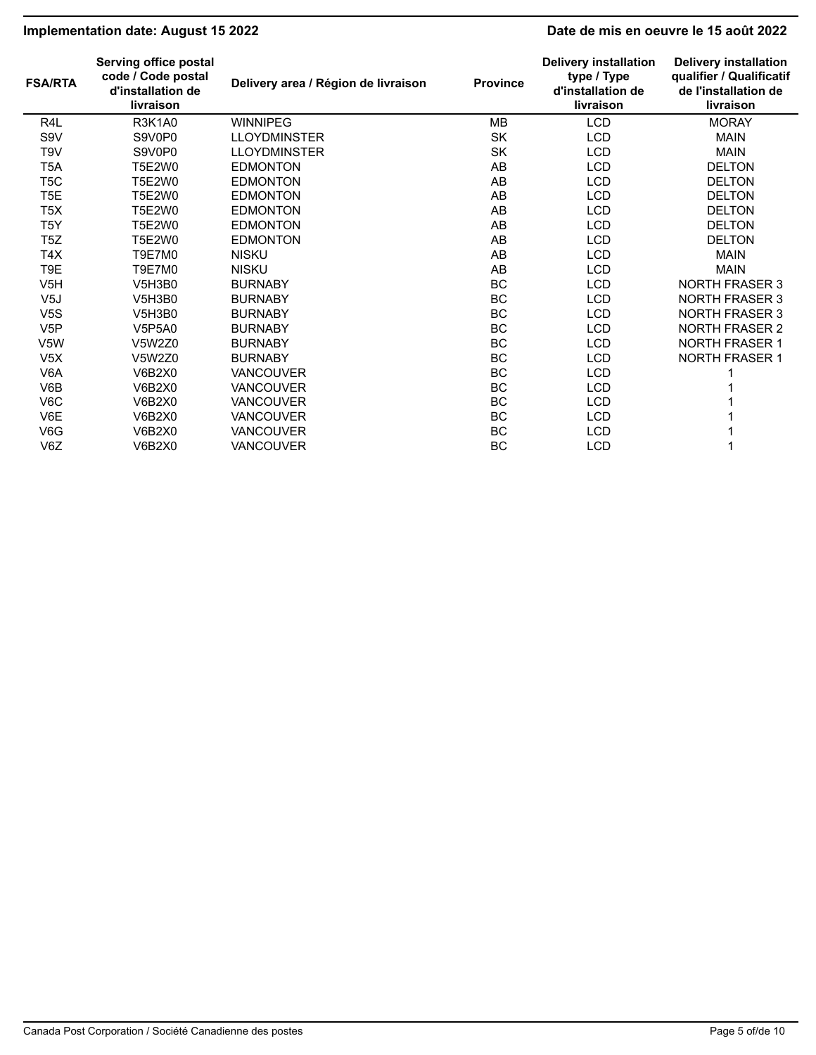# **Implementation date: August 15 2022 Date de mis en oeuvre le 15 août 2022**

| <b>FSA/RTA</b>   | Serving office postal<br>code / Code postal<br>d'installation de<br>livraison | Delivery area / Région de livraison | <b>Province</b> | <b>Delivery installation</b><br>type / Type<br>d'installation de<br>livraison | <b>Delivery installation</b><br>qualifier / Qualificatif<br>de l'installation de<br>livraison |
|------------------|-------------------------------------------------------------------------------|-------------------------------------|-----------------|-------------------------------------------------------------------------------|-----------------------------------------------------------------------------------------------|
| R <sub>4</sub> L | <b>R3K1A0</b>                                                                 | <b>WINNIPEG</b>                     | MB              | <b>LCD</b>                                                                    | <b>MORAY</b>                                                                                  |
| S9V              | S9V0P0                                                                        | <b>LLOYDMINSTER</b>                 | SK              | <b>LCD</b>                                                                    | <b>MAIN</b>                                                                                   |
| T9V              | S9V0P0                                                                        | <b>LLOYDMINSTER</b>                 | SK              | <b>LCD</b>                                                                    | <b>MAIN</b>                                                                                   |
| T <sub>5</sub> A | T5E2W0                                                                        | <b>EDMONTON</b>                     | AB              | <b>LCD</b>                                                                    | <b>DELTON</b>                                                                                 |
| T5C              | <b>T5E2W0</b>                                                                 | <b>EDMONTON</b>                     | AB              | <b>LCD</b>                                                                    | <b>DELTON</b>                                                                                 |
| T <sub>5</sub> E | T5E2W0                                                                        | <b>EDMONTON</b>                     | AB              | <b>LCD</b>                                                                    | <b>DELTON</b>                                                                                 |
| T <sub>5</sub> X | T5E2W0                                                                        | <b>EDMONTON</b>                     | AB              | <b>LCD</b>                                                                    | <b>DELTON</b>                                                                                 |
| T5Y              | T5E2W0                                                                        | <b>EDMONTON</b>                     | AB              | <b>LCD</b>                                                                    | <b>DELTON</b>                                                                                 |
| T5Z              | <b>T5E2W0</b>                                                                 | <b>EDMONTON</b>                     | AB              | <b>LCD</b>                                                                    | <b>DELTON</b>                                                                                 |
| T4X              | T9E7M0                                                                        | <b>NISKU</b>                        | AB              | <b>LCD</b>                                                                    | <b>MAIN</b>                                                                                   |
| T9E              | T9E7M0                                                                        | <b>NISKU</b>                        | AB              | <b>LCD</b>                                                                    | <b>MAIN</b>                                                                                   |
| V <sub>5</sub> H | V5H3B0                                                                        | <b>BURNABY</b>                      | BC              | <b>LCD</b>                                                                    | <b>NORTH FRASER 3</b>                                                                         |
| V5J              | V5H3B0                                                                        | <b>BURNABY</b>                      | BC              | <b>LCD</b>                                                                    | <b>NORTH FRASER 3</b>                                                                         |
| V <sub>5</sub> S | V5H3B0                                                                        | <b>BURNABY</b>                      | BC              | <b>LCD</b>                                                                    | <b>NORTH FRASER 3</b>                                                                         |
| V <sub>5</sub> P | <b>V5P5A0</b>                                                                 | <b>BURNABY</b>                      | BC              | <b>LCD</b>                                                                    | <b>NORTH FRASER 2</b>                                                                         |
| V5W              | V5W2Z0                                                                        | <b>BURNABY</b>                      | BC              | <b>LCD</b>                                                                    | <b>NORTH FRASER 1</b>                                                                         |
| V <sub>5</sub> X | V5W2Z0                                                                        | <b>BURNABY</b>                      | BC              | <b>LCD</b>                                                                    | <b>NORTH FRASER 1</b>                                                                         |
| V <sub>6</sub> A | <b>V6B2X0</b>                                                                 | <b>VANCOUVER</b>                    | BC              | <b>LCD</b>                                                                    |                                                                                               |
| V6B              | <b>V6B2X0</b>                                                                 | <b>VANCOUVER</b>                    | BC              | <b>LCD</b>                                                                    |                                                                                               |
| V6C              | <b>V6B2X0</b>                                                                 | <b>VANCOUVER</b>                    | BC              | <b>LCD</b>                                                                    |                                                                                               |
| V6E              | <b>V6B2X0</b>                                                                 | <b>VANCOUVER</b>                    | BC              | <b>LCD</b>                                                                    |                                                                                               |
| V6G              | <b>V6B2X0</b>                                                                 | <b>VANCOUVER</b>                    | BC              | <b>LCD</b>                                                                    |                                                                                               |
| V6Z              | <b>V6B2X0</b>                                                                 | <b>VANCOUVER</b>                    | BC              | <b>LCD</b>                                                                    |                                                                                               |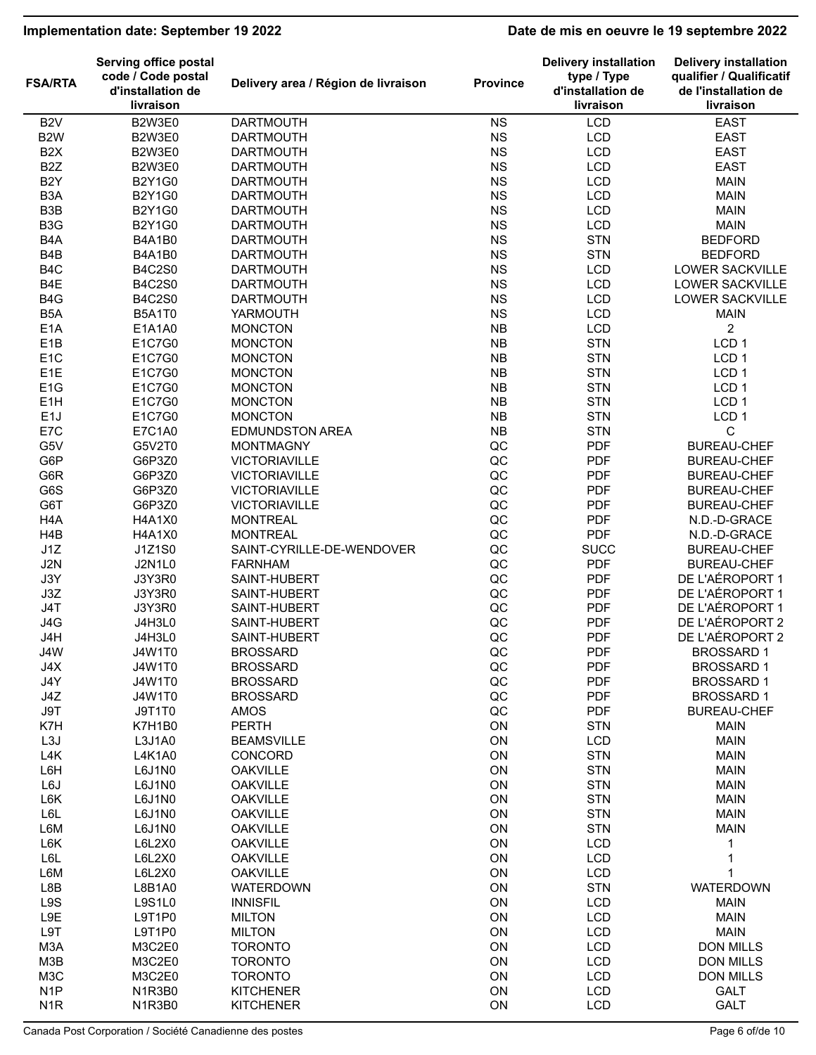# **Implementation date: September 19 2022 Date de mis en oeuvre le 19 septembre 2022**

|                  | <b>Serving office postal</b>                         |                                     |                 | <b>Delivery installation</b>                  | <b>Delivery installation</b>                                  |
|------------------|------------------------------------------------------|-------------------------------------|-----------------|-----------------------------------------------|---------------------------------------------------------------|
| <b>FSA/RTA</b>   | code / Code postal<br>d'installation de<br>livraison | Delivery area / Région de livraison | <b>Province</b> | type / Type<br>d'installation de<br>livraison | qualifier / Qualificatif<br>de l'installation de<br>livraison |
| B <sub>2</sub> V | B2W3E0                                               | <b>DARTMOUTH</b>                    | <b>NS</b>       | <b>LCD</b>                                    | <b>EAST</b>                                                   |
| B <sub>2</sub> W | B2W3E0                                               | <b>DARTMOUTH</b>                    | <b>NS</b>       | <b>LCD</b>                                    | <b>EAST</b>                                                   |
| B <sub>2</sub> X | <b>B2W3E0</b>                                        | <b>DARTMOUTH</b>                    | <b>NS</b>       | <b>LCD</b>                                    | <b>EAST</b>                                                   |
| B <sub>2</sub> Z | <b>B2W3E0</b>                                        | <b>DARTMOUTH</b>                    | <b>NS</b>       | <b>LCD</b>                                    | <b>EAST</b>                                                   |
| B <sub>2</sub> Y | <b>B2Y1G0</b>                                        | <b>DARTMOUTH</b>                    | <b>NS</b>       | <b>LCD</b>                                    | <b>MAIN</b>                                                   |
| B <sub>3</sub> A | <b>B2Y1G0</b>                                        | <b>DARTMOUTH</b>                    | <b>NS</b>       | <b>LCD</b>                                    | <b>MAIN</b>                                                   |
| B <sub>3</sub> B | <b>B2Y1G0</b>                                        | <b>DARTMOUTH</b>                    | <b>NS</b>       | <b>LCD</b>                                    | <b>MAIN</b>                                                   |
| B <sub>3</sub> G | <b>B2Y1G0</b>                                        | <b>DARTMOUTH</b>                    | <b>NS</b>       | <b>LCD</b>                                    | <b>MAIN</b>                                                   |
| B <sub>4</sub> A |                                                      |                                     | <b>NS</b>       | <b>STN</b>                                    | <b>BEDFORD</b>                                                |
|                  | <b>B4A1B0</b>                                        | <b>DARTMOUTH</b>                    |                 | <b>STN</b>                                    |                                                               |
| B <sub>4</sub> B | <b>B4A1B0</b>                                        | <b>DARTMOUTH</b>                    | <b>NS</b>       |                                               | <b>BEDFORD</b>                                                |
| B <sub>4</sub> C | <b>B4C2S0</b>                                        | <b>DARTMOUTH</b>                    | <b>NS</b>       | <b>LCD</b>                                    | LOWER SACKVILLE                                               |
| B4E              | <b>B4C2S0</b>                                        | <b>DARTMOUTH</b>                    | <b>NS</b>       | <b>LCD</b>                                    | <b>LOWER SACKVILLE</b>                                        |
| B <sub>4</sub> G | <b>B4C2S0</b>                                        | <b>DARTMOUTH</b>                    | <b>NS</b>       | <b>LCD</b>                                    | LOWER SACKVILLE                                               |
| B <sub>5</sub> A | <b>B5A1T0</b>                                        | YARMOUTH                            | <b>NS</b>       | <b>LCD</b>                                    | <b>MAIN</b>                                                   |
| E <sub>1</sub> A | E1A1A0                                               | <b>MONCTON</b>                      | <b>NB</b>       | <b>LCD</b>                                    | $\overline{c}$                                                |
| E <sub>1</sub> B | E1C7G0                                               | <b>MONCTON</b>                      | <b>NB</b>       | <b>STN</b>                                    | LCD <sub>1</sub>                                              |
| E <sub>1</sub> C | E1C7G0                                               | <b>MONCTON</b>                      | <b>NB</b>       | <b>STN</b>                                    | LCD <sub>1</sub>                                              |
| E <sub>1</sub> E | E1C7G0                                               | <b>MONCTON</b>                      | <b>NB</b>       | <b>STN</b>                                    | LCD <sub>1</sub>                                              |
| E <sub>1</sub> G | E1C7G0                                               | <b>MONCTON</b>                      | <b>NB</b>       | <b>STN</b>                                    | LCD <sub>1</sub>                                              |
| E <sub>1</sub> H | E1C7G0                                               | <b>MONCTON</b>                      | <b>NB</b>       | <b>STN</b>                                    | LCD <sub>1</sub>                                              |
| E <sub>1</sub> J | E1C7G0                                               | <b>MONCTON</b>                      | <b>NB</b>       | <b>STN</b>                                    | LCD <sub>1</sub>                                              |
| E7C              | E7C1A0                                               | <b>EDMUNDSTON AREA</b>              | <b>NB</b>       | <b>STN</b>                                    | С                                                             |
| G5V              | G5V2T0                                               | <b>MONTMAGNY</b>                    | QC              | <b>PDF</b>                                    | <b>BUREAU-CHEF</b>                                            |
| G6P              | G6P3Z0                                               | <b>VICTORIAVILLE</b>                | QC              | <b>PDF</b>                                    | <b>BUREAU-CHEF</b>                                            |
| G6R              | G6P3Z0                                               | <b>VICTORIAVILLE</b>                | QC              | <b>PDF</b>                                    | <b>BUREAU-CHEF</b>                                            |
| G6S              | G6P3Z0                                               | <b>VICTORIAVILLE</b>                | QC              | <b>PDF</b>                                    | <b>BUREAU-CHEF</b>                                            |
| G6T              | G6P3Z0                                               | <b>VICTORIAVILLE</b>                | QC              | <b>PDF</b>                                    | <b>BUREAU-CHEF</b>                                            |
| H <sub>4</sub> A | <b>H4A1X0</b>                                        | <b>MONTREAL</b>                     | QC              | <b>PDF</b>                                    | N.D.-D-GRACE                                                  |
| H <sub>4</sub> B | <b>H4A1X0</b>                                        | <b>MONTREAL</b>                     | QC              | <b>PDF</b>                                    | N.D.-D-GRACE                                                  |
| J1Z              | J1Z1S0                                               | SAINT-CYRILLE-DE-WENDOVER           | QC              | <b>SUCC</b>                                   | <b>BUREAU-CHEF</b>                                            |
| J2N              | <b>J2N1L0</b>                                        | <b>FARNHAM</b>                      | QC              | <b>PDF</b>                                    | <b>BUREAU-CHEF</b>                                            |
| J3Y              | J3Y3R0                                               | SAINT-HUBERT                        | QC              | <b>PDF</b>                                    | DE L'AÉROPORT 1                                               |
| J3Z              | <b>J3Y3R0</b>                                        | SAINT-HUBERT                        | QC              | <b>PDF</b>                                    | DE L'AÉROPORT 1                                               |
| J4T              | <b>J3Y3R0</b>                                        | SAINT-HUBERT                        | QC              | <b>PDF</b>                                    | DE L'AÉROPORT 1                                               |
| J4G              | <b>J4H3L0</b>                                        | SAINT-HUBERT                        | QC              | <b>PDF</b>                                    | DE L'AÉROPORT 2                                               |
| J4H              | <b>J4H3L0</b>                                        | SAINT-HUBERT                        | QC              | <b>PDF</b>                                    | DE L'AÉROPORT 2                                               |
| J4W              | <b>J4W1T0</b>                                        |                                     | QC              | <b>PDF</b>                                    | <b>BROSSARD1</b>                                              |
|                  |                                                      | <b>BROSSARD</b><br><b>BROSSARD</b>  |                 |                                               |                                                               |
| J4X              | <b>J4W1T0</b>                                        |                                     | QC              | <b>PDF</b>                                    | <b>BROSSARD1</b>                                              |
| J4Y              | <b>J4W1T0</b>                                        | <b>BROSSARD</b>                     | $\sf QC$        | <b>PDF</b>                                    | <b>BROSSARD1</b>                                              |
| J4Z              | J4W1T0                                               | <b>BROSSARD</b>                     | QC              | <b>PDF</b>                                    | <b>BROSSARD1</b>                                              |
| J9T              | J9T1T0                                               | AMOS                                | QC              | <b>PDF</b>                                    | <b>BUREAU-CHEF</b>                                            |
| K7H              | K7H1B0                                               | <b>PERTH</b>                        | ON              | <b>STN</b>                                    | <b>MAIN</b>                                                   |
| L <sub>3</sub> J | L3J1A0                                               | <b>BEAMSVILLE</b>                   | ON              | <b>LCD</b>                                    | <b>MAIN</b>                                                   |
| L4K              | L4K1A0                                               | CONCORD                             | ON              | <b>STN</b>                                    | <b>MAIN</b>                                                   |
| L6H              | L6J1N0                                               | <b>OAKVILLE</b>                     | ON              | <b>STN</b>                                    | <b>MAIN</b>                                                   |
| L6J              | L6J1N0                                               | <b>OAKVILLE</b>                     | ON              | <b>STN</b>                                    | <b>MAIN</b>                                                   |
| L6K              | L6J1N0                                               | <b>OAKVILLE</b>                     | ON              | <b>STN</b>                                    | <b>MAIN</b>                                                   |
| L6L              | L6J1N0                                               | <b>OAKVILLE</b>                     | ON              | <b>STN</b>                                    | <b>MAIN</b>                                                   |
| L6M              | L6J1N0                                               | <b>OAKVILLE</b>                     | ON              | <b>STN</b>                                    | <b>MAIN</b>                                                   |
| L6K              | L6L2X0                                               | <b>OAKVILLE</b>                     | ON              | <b>LCD</b>                                    | 1                                                             |
| L6L              | L6L2X0                                               | <b>OAKVILLE</b>                     | ON              | <b>LCD</b>                                    | 1                                                             |
| L6M              | L6L2X0                                               | <b>OAKVILLE</b>                     | ON              | <b>LCD</b>                                    | 1                                                             |
| L8B              | L8B1A0                                               | <b>WATERDOWN</b>                    | ON              | <b>STN</b>                                    | <b>WATERDOWN</b>                                              |
| L9S              | <b>L9S1L0</b>                                        | <b>INNISFIL</b>                     | ON              | <b>LCD</b>                                    | <b>MAIN</b>                                                   |
| L9E              | L9T1P0                                               | <b>MILTON</b>                       | ON              | <b>LCD</b>                                    | <b>MAIN</b>                                                   |
| L9T              | L9T1P0                                               | <b>MILTON</b>                       | ON              | <b>LCD</b>                                    | <b>MAIN</b>                                                   |
| M3A              | M3C2E0                                               | <b>TORONTO</b>                      | ON              | <b>LCD</b>                                    | <b>DON MILLS</b>                                              |
| M3B              | M3C2E0                                               | <b>TORONTO</b>                      | ON              | <b>LCD</b>                                    | <b>DON MILLS</b>                                              |
| M <sub>3</sub> C | M3C2E0                                               | <b>TORONTO</b>                      | ON              | <b>LCD</b>                                    | <b>DON MILLS</b>                                              |
| N <sub>1</sub> P | N1R3B0                                               | <b>KITCHENER</b>                    | ON              | <b>LCD</b>                                    | <b>GALT</b>                                                   |
| N <sub>1</sub> R | N1R3B0                                               | <b>KITCHENER</b>                    | ON              | <b>LCD</b>                                    | <b>GALT</b>                                                   |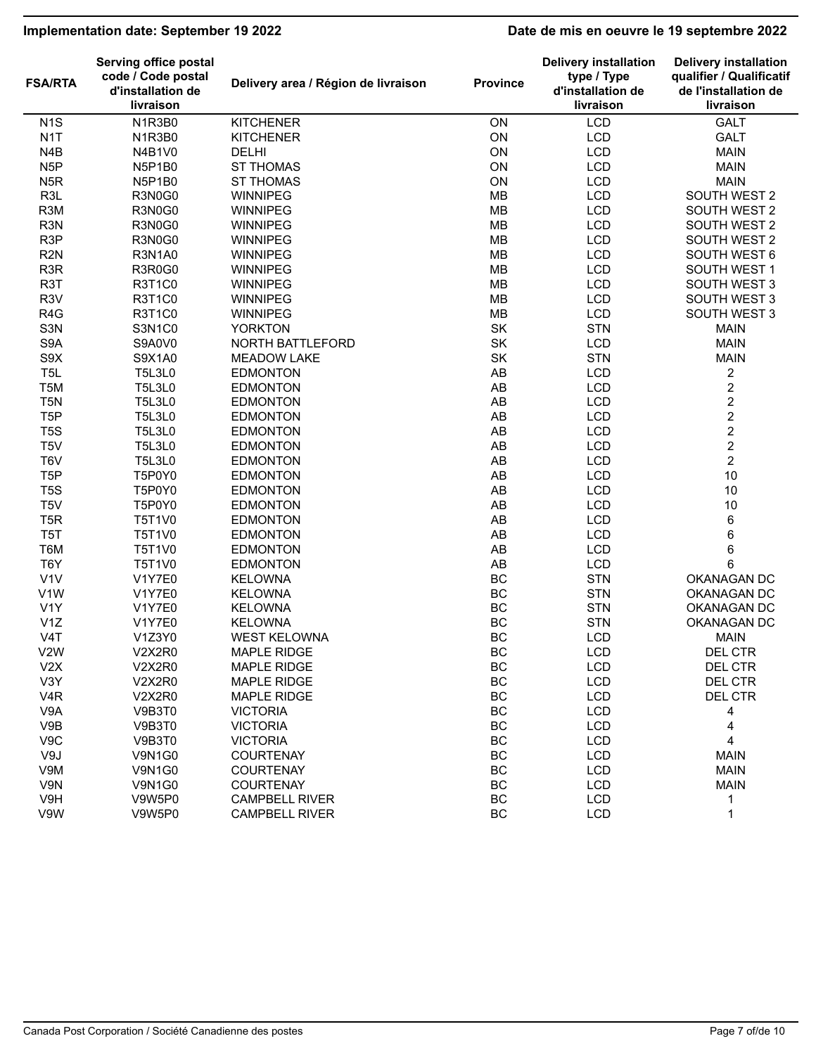# **Implementation date: September 19 2022 Date de mis en oeuvre le 19 septembre 2022**

| <b>FSA/RTA</b>   | Serving office postal<br>code / Code postal<br>d'installation de<br>livraison | Delivery area / Région de livraison | <b>Province</b> | <b>Delivery installation</b><br>type / Type<br>d'installation de<br>livraison | <b>Delivery installation</b><br>qualifier / Qualificatif<br>de l'installation de<br>livraison |
|------------------|-------------------------------------------------------------------------------|-------------------------------------|-----------------|-------------------------------------------------------------------------------|-----------------------------------------------------------------------------------------------|
| N <sub>1</sub> S | N1R3B0                                                                        | <b>KITCHENER</b>                    | ON              | LCD                                                                           | <b>GALT</b>                                                                                   |
| N <sub>1</sub> T | N1R3B0                                                                        | <b>KITCHENER</b>                    | ON              | <b>LCD</b>                                                                    | <b>GALT</b>                                                                                   |
| N <sub>4</sub> B | N4B1V0                                                                        | <b>DELHI</b>                        | ON              | <b>LCD</b>                                                                    | <b>MAIN</b>                                                                                   |
| N <sub>5</sub> P | N5P1B0                                                                        | <b>ST THOMAS</b>                    | ON              | <b>LCD</b>                                                                    | <b>MAIN</b>                                                                                   |
| N <sub>5</sub> R | N5P1B0                                                                        | <b>ST THOMAS</b>                    | ON              | <b>LCD</b>                                                                    | <b>MAIN</b>                                                                                   |
| R <sub>3</sub> L | R3N0G0                                                                        | <b>WINNIPEG</b>                     | <b>MB</b>       | <b>LCD</b>                                                                    | SOUTH WEST 2                                                                                  |
| R <sub>3</sub> M | R3N0G0                                                                        | <b>WINNIPEG</b>                     | <b>MB</b>       | <b>LCD</b>                                                                    | SOUTH WEST 2                                                                                  |
| R <sub>3</sub> N | R3N0G0                                                                        | <b>WINNIPEG</b>                     | <b>MB</b>       | <b>LCD</b>                                                                    | SOUTH WEST 2                                                                                  |
| R <sub>3</sub> P | R3N0G0                                                                        | <b>WINNIPEG</b>                     | MB              | LCD                                                                           | SOUTH WEST 2                                                                                  |
| R <sub>2N</sub>  | <b>R3N1A0</b>                                                                 | <b>WINNIPEG</b>                     | <b>MB</b>       | <b>LCD</b>                                                                    | SOUTH WEST 6                                                                                  |
| R <sub>3</sub> R | R3R0G0                                                                        | <b>WINNIPEG</b>                     | <b>MB</b>       | <b>LCD</b>                                                                    | SOUTH WEST 1                                                                                  |
| R <sub>3</sub> T | <b>R3T1C0</b>                                                                 | <b>WINNIPEG</b>                     | MB              | <b>LCD</b>                                                                    | SOUTH WEST 3                                                                                  |
| R <sub>3</sub> V | <b>R3T1C0</b>                                                                 | <b>WINNIPEG</b>                     | MB              | <b>LCD</b>                                                                    | SOUTH WEST 3                                                                                  |
| R <sub>4</sub> G | <b>R3T1C0</b>                                                                 | <b>WINNIPEG</b>                     | MB              | <b>LCD</b>                                                                    | SOUTH WEST 3                                                                                  |
| S <sub>3</sub> N | S3N1C0                                                                        | <b>YORKTON</b>                      | SK              | <b>STN</b>                                                                    | <b>MAIN</b>                                                                                   |
| S9A              | S9A0V0                                                                        | NORTH BATTLEFORD                    | SK              | <b>LCD</b>                                                                    | <b>MAIN</b>                                                                                   |
| S9X              | S9X1A0                                                                        | <b>MEADOW LAKE</b>                  | SK              | <b>STN</b>                                                                    | <b>MAIN</b>                                                                                   |
| T <sub>5L</sub>  | <b>T5L3L0</b>                                                                 | <b>EDMONTON</b>                     | AB              | <b>LCD</b>                                                                    | $\overline{\mathbf{c}}$                                                                       |
| T <sub>5</sub> M | <b>T5L3L0</b>                                                                 | <b>EDMONTON</b>                     | AB              | <b>LCD</b>                                                                    | $\sqrt{2}$                                                                                    |
| T <sub>5</sub> N | <b>T5L3L0</b>                                                                 | <b>EDMONTON</b>                     | AB              | <b>LCD</b>                                                                    | $\overline{c}$                                                                                |
| T <sub>5</sub> P | <b>T5L3L0</b>                                                                 | <b>EDMONTON</b>                     | AB              | <b>LCD</b>                                                                    | $\overline{c}$                                                                                |
| T <sub>5</sub> S | <b>T5L3L0</b>                                                                 | <b>EDMONTON</b>                     | AB              | <b>LCD</b>                                                                    | $\overline{\mathbf{c}}$                                                                       |
| T <sub>5</sub> V | <b>T5L3L0</b>                                                                 | <b>EDMONTON</b>                     | AB              | <b>LCD</b>                                                                    | $\overline{\mathbf{c}}$                                                                       |
| T6V              | <b>T5L3L0</b>                                                                 | <b>EDMONTON</b>                     | AB              | <b>LCD</b>                                                                    | $\overline{2}$                                                                                |
| T <sub>5</sub> P | T5P0Y0                                                                        | <b>EDMONTON</b>                     | AB              | <b>LCD</b>                                                                    | 10                                                                                            |
| T <sub>5</sub> S | T5P0Y0                                                                        | <b>EDMONTON</b>                     | AB              | <b>LCD</b>                                                                    | 10                                                                                            |
| T <sub>5</sub> V | T5P0Y0                                                                        | <b>EDMONTON</b>                     | AB              | <b>LCD</b>                                                                    | 10                                                                                            |
| T <sub>5</sub> R | T5T1V0                                                                        | <b>EDMONTON</b>                     | AB              | <b>LCD</b>                                                                    | $\,6$                                                                                         |
| T <sub>5</sub> T | T5T1V0                                                                        | <b>EDMONTON</b>                     | AB              | <b>LCD</b>                                                                    | 6                                                                                             |
| T6M              | T5T1V0                                                                        | <b>EDMONTON</b>                     | AB              | <b>LCD</b>                                                                    | $\,6$                                                                                         |
| T <sub>6</sub> Y | T5T1V0                                                                        | <b>EDMONTON</b>                     | AB              | <b>LCD</b>                                                                    | 6                                                                                             |
| V <sub>1</sub> V | <b>V1Y7E0</b>                                                                 | <b>KELOWNA</b>                      | BC              | <b>STN</b>                                                                    | OKANAGAN DC                                                                                   |
| V <sub>1</sub> W | V1Y7E0                                                                        | <b>KELOWNA</b>                      | BC              | <b>STN</b>                                                                    | OKANAGAN DC                                                                                   |
| V <sub>1</sub> Y | <b>V1Y7E0</b>                                                                 | <b>KELOWNA</b>                      | BC              | <b>STN</b>                                                                    | OKANAGAN DC                                                                                   |
| V1Z              | <b>V1Y7E0</b>                                                                 | <b>KELOWNA</b>                      | BC              | <b>STN</b>                                                                    | OKANAGAN DC                                                                                   |
| V4T              | V1Z3Y0                                                                        | <b>WEST KELOWNA</b>                 | <b>BC</b>       | <b>LCD</b>                                                                    | <b>MAIN</b>                                                                                   |
| V <sub>2</sub> W | <b>V2X2R0</b>                                                                 | <b>MAPLE RIDGE</b>                  | BC              | LCD                                                                           | DEL CTR                                                                                       |
| V2X              | <b>V2X2R0</b>                                                                 | <b>MAPLE RIDGE</b>                  | BC              | <b>LCD</b>                                                                    | DEL CTR                                                                                       |
| V3Y              | <b>V2X2R0</b>                                                                 | MAPLE RIDGE                         | BC              | LCD                                                                           | DEL CTR                                                                                       |
| V <sub>4</sub> R | <b>V2X2R0</b>                                                                 | MAPLE RIDGE                         | BC              | LCD                                                                           | DEL CTR                                                                                       |
| V9A              | V9B3T0                                                                        | <b>VICTORIA</b>                     | BC              | LCD                                                                           | 4                                                                                             |
| V9B              | V9B3T0                                                                        | <b>VICTORIA</b>                     | BC              | <b>LCD</b>                                                                    | 4                                                                                             |
| V9C              | V9B3T0                                                                        | <b>VICTORIA</b>                     | BC              | <b>LCD</b>                                                                    | 4                                                                                             |
| V9J              | <b>V9N1G0</b>                                                                 | <b>COURTENAY</b>                    | BC              | <b>LCD</b>                                                                    | <b>MAIN</b>                                                                                   |
| V9M              | <b>V9N1G0</b>                                                                 | <b>COURTENAY</b>                    | BC              | <b>LCD</b>                                                                    | <b>MAIN</b>                                                                                   |
| V9N              | <b>V9N1G0</b>                                                                 | <b>COURTENAY</b>                    | BC              | <b>LCD</b>                                                                    | <b>MAIN</b>                                                                                   |
| V9H              | V9W5P0                                                                        | <b>CAMPBELL RIVER</b>               | BC              | <b>LCD</b>                                                                    | 1                                                                                             |
| V9W              | V9W5P0                                                                        | <b>CAMPBELL RIVER</b>               | BC              | <b>LCD</b>                                                                    | $\mathbf 1$                                                                                   |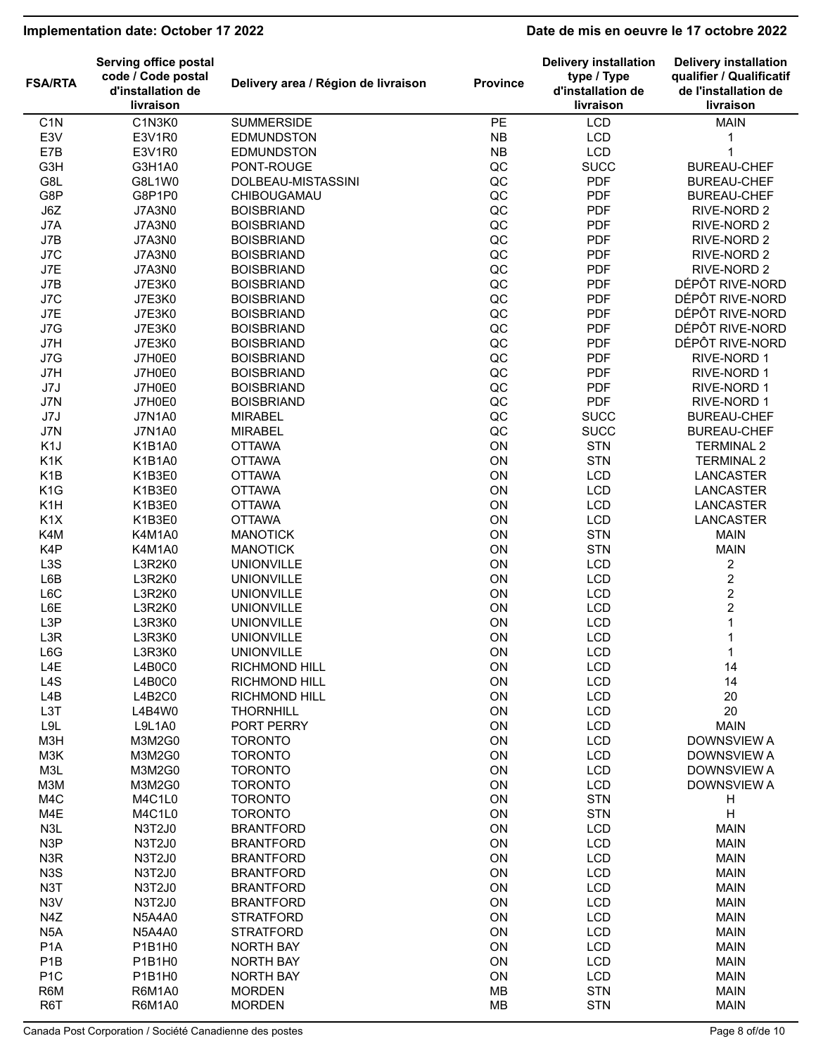# **Implementation date: October 17 2022 Date de mis en oeuvre le 17 octobre 2022**

|                  | <b>Serving office postal</b>                         |                                     |                 | <b>Delivery installation</b>                  | <b>Delivery installation</b>                                  |
|------------------|------------------------------------------------------|-------------------------------------|-----------------|-----------------------------------------------|---------------------------------------------------------------|
| <b>FSA/RTA</b>   | code / Code postal<br>d'installation de<br>livraison | Delivery area / Région de livraison | <b>Province</b> | type / Type<br>d'installation de<br>livraison | qualifier / Qualificatif<br>de l'installation de<br>livraison |
|                  |                                                      |                                     |                 |                                               |                                                               |
| C <sub>1</sub> N | C1N3K0                                               | <b>SUMMERSIDE</b>                   | PE              | LCD                                           | <b>MAIN</b>                                                   |
| E3V              | E3V1R0                                               | EDMUNDSTON                          | NB              | <b>LCD</b>                                    |                                                               |
| E7B              | E3V1R0                                               | EDMUNDSTON                          | NB              | LCD                                           | 1                                                             |
| G3H              | G3H1A0                                               | PONT-ROUGE                          | QC              | <b>SUCC</b>                                   | <b>BUREAU-CHEF</b>                                            |
| G8L              | G8L1W0                                               | DOLBEAU-MISTASSINI                  | QC              | <b>PDF</b>                                    | <b>BUREAU-CHEF</b>                                            |
| G8P              | G8P1P0                                               | CHIBOUGAMAU                         | QC              | <b>PDF</b>                                    | <b>BUREAU-CHEF</b>                                            |
| J6Z              | <b>J7A3N0</b>                                        | <b>BOISBRIAND</b>                   | QC              | <b>PDF</b>                                    | RIVE-NORD 2                                                   |
| J7A              | <b>J7A3N0</b>                                        | <b>BOISBRIAND</b>                   | QC              | <b>PDF</b>                                    | RIVE-NORD 2                                                   |
| J7B              | <b>J7A3N0</b>                                        | <b>BOISBRIAND</b>                   | QC              | <b>PDF</b>                                    | RIVE-NORD 2                                                   |
| J7C              | <b>J7A3N0</b>                                        | <b>BOISBRIAND</b>                   | QC              | <b>PDF</b>                                    | RIVE-NORD 2                                                   |
| J7E              | <b>J7A3N0</b>                                        | <b>BOISBRIAND</b>                   | QC              | <b>PDF</b>                                    | RIVE-NORD 2                                                   |
| J7B              | J7E3K0                                               | <b>BOISBRIAND</b>                   | QC              | <b>PDF</b>                                    | DÉPÔT RIVE-NORD                                               |
| J7C              | <b>J7E3K0</b>                                        | <b>BOISBRIAND</b>                   | QC              | <b>PDF</b>                                    | DÉPÔT RIVE-NORD                                               |
| J7E              | <b>J7E3K0</b>                                        | <b>BOISBRIAND</b>                   | QC              | <b>PDF</b>                                    | DÉPÔT RIVE-NORD                                               |
| J7G              | J7E3K0                                               | <b>BOISBRIAND</b>                   | QC              | <b>PDF</b>                                    | DÉPÔT RIVE-NORD                                               |
| J7H              | <b>J7E3K0</b>                                        | <b>BOISBRIAND</b>                   | QC              | <b>PDF</b>                                    | DÉPÔT RIVE-NORD                                               |
| J7G              | J7H0E0                                               | <b>BOISBRIAND</b>                   | QC              | <b>PDF</b>                                    | RIVE-NORD 1                                                   |
| J7H              | J7H0E0                                               | <b>BOISBRIAND</b>                   | QC              | <b>PDF</b>                                    | RIVE-NORD 1                                                   |
|                  |                                                      | <b>BOISBRIAND</b>                   | QC              | <b>PDF</b>                                    |                                                               |
| J7J              | J7H0E0                                               |                                     |                 |                                               | RIVE-NORD 1                                                   |
| J7N              | J7H0E0                                               | <b>BOISBRIAND</b>                   | QC              | <b>PDF</b>                                    | RIVE-NORD 1                                                   |
| J7J              | <b>J7N1A0</b>                                        | <b>MIRABEL</b>                      | QC              | <b>SUCC</b>                                   | <b>BUREAU-CHEF</b>                                            |
| J7N              | <b>J7N1A0</b>                                        | <b>MIRABEL</b>                      | QC              | <b>SUCC</b>                                   | <b>BUREAU-CHEF</b>                                            |
| K <sub>1</sub> J | K1B1A0                                               | <b>OTTAWA</b>                       | ON              | <b>STN</b>                                    | <b>TERMINAL 2</b>                                             |
| K1K              | K1B1A0                                               | <b>OTTAWA</b>                       | ON              | <b>STN</b>                                    | <b>TERMINAL 2</b>                                             |
| K <sub>1</sub> B | K1B3E0                                               | <b>OTTAWA</b>                       | ON              | LCD                                           | LANCASTER                                                     |
| K <sub>1</sub> G | K1B3E0                                               | <b>OTTAWA</b>                       | ON              | <b>LCD</b>                                    | LANCASTER                                                     |
| K <sub>1</sub> H | K1B3E0                                               | <b>OTTAWA</b>                       | ON              | <b>LCD</b>                                    | <b>LANCASTER</b>                                              |
| K <sub>1</sub> X | K1B3E0                                               | <b>OTTAWA</b>                       | ON              | <b>LCD</b>                                    | LANCASTER                                                     |
| K4M              | K4M1A0                                               | <b>MANOTICK</b>                     | ON              | <b>STN</b>                                    | <b>MAIN</b>                                                   |
| K4P              | K4M1A0                                               | <b>MANOTICK</b>                     | ON              | <b>STN</b>                                    | <b>MAIN</b>                                                   |
| L3S              | L3R2K0                                               | <b>UNIONVILLE</b>                   | ON              | LCD                                           | 2                                                             |
| L6B              | L3R2K0                                               | <b>UNIONVILLE</b>                   | ON              | <b>LCD</b>                                    | $\overline{\mathbf{c}}$                                       |
| L6C              | L3R2K0                                               | <b>UNIONVILLE</b>                   | ON              | <b>LCD</b>                                    | 2                                                             |
| L6E              | L3R2K0                                               | <b>UNIONVILLE</b>                   | ON              | <b>LCD</b>                                    | $\overline{\mathbf{c}}$                                       |
| L <sub>3</sub> P | L3R3K0                                               | <b>UNIONVILLE</b>                   | ON              | <b>LCD</b>                                    | 1                                                             |
| L3R              | L3R3K0                                               | <b>UNIONVILLE</b>                   | ON              | <b>LCD</b>                                    | 1                                                             |
| L6G              | L3R3K0                                               | <b>UNIONVILLE</b>                   | ON              | LCD                                           | $\mathbf{1}$                                                  |
| L4E              | L4B0C0                                               | <b>RICHMOND HILL</b>                | ON              | <b>LCD</b>                                    | 14                                                            |
| L4S              | L4B0C0                                               | <b>RICHMOND HILL</b>                | ON              | LCD                                           | 14                                                            |
| L4B              | <b>L4B2C0</b>                                        | <b>RICHMOND HILL</b>                | ON              | <b>LCD</b>                                    | 20                                                            |
| L <sub>3</sub> T | L4B4W0                                               | <b>THORNHILL</b>                    | ON              | <b>LCD</b>                                    | 20                                                            |
|                  |                                                      |                                     |                 |                                               |                                                               |
| L9L              | L9L1A0                                               | PORT PERRY                          | ON              | LCD                                           | <b>MAIN</b>                                                   |
| M3H              | M3M2G0                                               | <b>TORONTO</b>                      | ON              | <b>LCD</b>                                    | <b>DOWNSVIEW A</b>                                            |
| M3K              | M3M2G0                                               | <b>TORONTO</b>                      | ON              | LCD                                           | <b>DOWNSVIEW A</b>                                            |
| M3L              | M3M2G0                                               | <b>TORONTO</b>                      | ON              | <b>LCD</b>                                    | <b>DOWNSVIEW A</b>                                            |
| M3M              | M3M2G0                                               | <b>TORONTO</b>                      | ON              | <b>LCD</b>                                    | <b>DOWNSVIEW A</b>                                            |
| M4C              | M4C1L0                                               | <b>TORONTO</b>                      | ON              | <b>STN</b>                                    | H                                                             |
| M4E              | M4C1L0                                               | <b>TORONTO</b>                      | ON              | <b>STN</b>                                    | H                                                             |
| N3L              | N3T2J0                                               | <b>BRANTFORD</b>                    | ON              | LCD                                           | <b>MAIN</b>                                                   |
| N <sub>3</sub> P | N3T2J0                                               | <b>BRANTFORD</b>                    | ON              | <b>LCD</b>                                    | <b>MAIN</b>                                                   |
| N <sub>3</sub> R | N3T2J0                                               | <b>BRANTFORD</b>                    | ON              | <b>LCD</b>                                    | <b>MAIN</b>                                                   |
| N <sub>3</sub> S | N3T2J0                                               | <b>BRANTFORD</b>                    | ON              | <b>LCD</b>                                    | <b>MAIN</b>                                                   |
| N3T              | N3T2J0                                               | <b>BRANTFORD</b>                    | ON              | <b>LCD</b>                                    | <b>MAIN</b>                                                   |
| N3V              | N3T2J0                                               | <b>BRANTFORD</b>                    | ON              | <b>LCD</b>                                    | <b>MAIN</b>                                                   |
| N4Z              | <b>N5A4A0</b>                                        | <b>STRATFORD</b>                    | ON              | LCD                                           | <b>MAIN</b>                                                   |
| N <sub>5</sub> A | <b>N5A4A0</b>                                        | <b>STRATFORD</b>                    | ON              | <b>LCD</b>                                    | <b>MAIN</b>                                                   |
| P <sub>1</sub> A | P1B1H0                                               | <b>NORTH BAY</b>                    | ON              | LCD                                           | <b>MAIN</b>                                                   |
| P <sub>1</sub> B | P1B1H0                                               | NORTH BAY                           | ON              | <b>LCD</b>                                    | <b>MAIN</b>                                                   |
| P <sub>1</sub> C | P1B1H0                                               | <b>NORTH BAY</b>                    | ON              | <b>LCD</b>                                    | <b>MAIN</b>                                                   |
| R6M              | <b>R6M1A0</b>                                        | <b>MORDEN</b>                       | MB              | <b>STN</b>                                    | <b>MAIN</b>                                                   |
| R6T              |                                                      |                                     | <b>MB</b>       | <b>STN</b>                                    | <b>MAIN</b>                                                   |
|                  | <b>R6M1A0</b>                                        | <b>MORDEN</b>                       |                 |                                               |                                                               |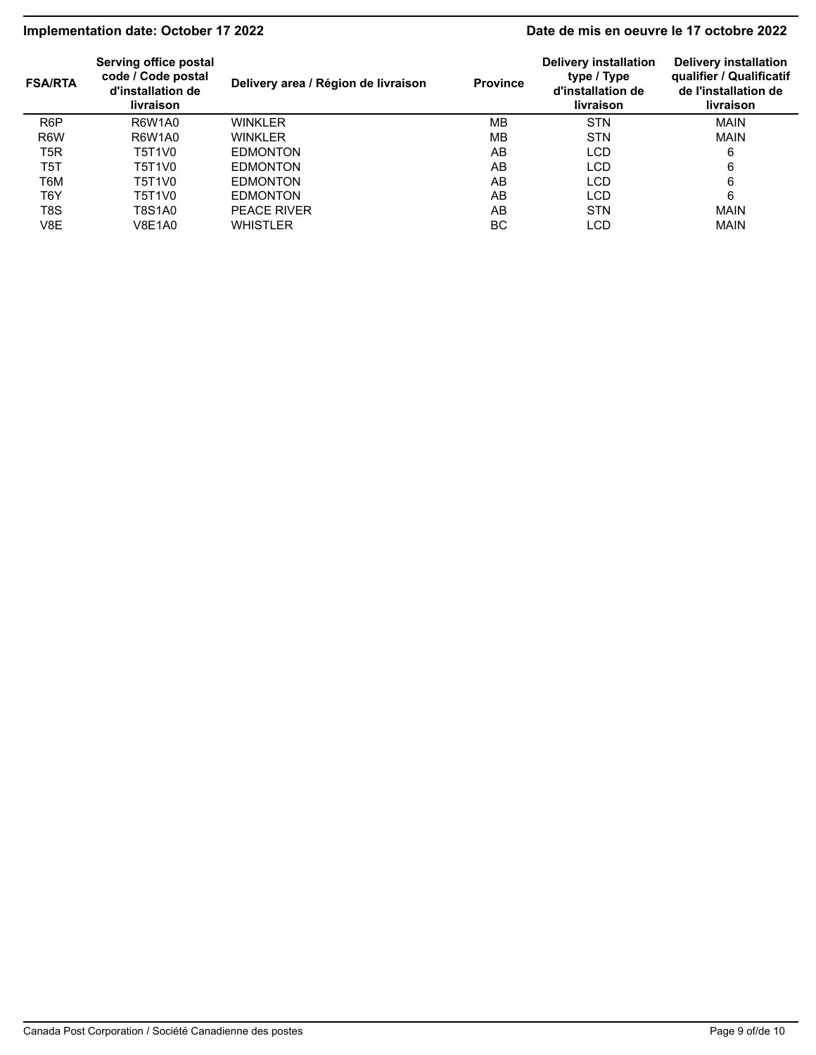# **Implementation date: October 17 2022 Date de mis en oeuvre le 17 octobre 2022**

| <b>FSA/RTA</b>   | Serving office postal<br>code / Code postal<br>d'installation de<br><b>livraison</b> | Delivery area / Région de livraison | <b>Province</b> | Delivery installation<br>type / Type<br>d'installation de<br><b>livraison</b> | <b>Delivery installation</b><br>qualifier / Qualificatif<br>de l'installation de<br>livraison |
|------------------|--------------------------------------------------------------------------------------|-------------------------------------|-----------------|-------------------------------------------------------------------------------|-----------------------------------------------------------------------------------------------|
| R <sub>6</sub> P | R6W1A0                                                                               | <b>WINKLER</b>                      | <b>MB</b>       | <b>STN</b>                                                                    | <b>MAIN</b>                                                                                   |
| R <sub>6</sub> W | R6W1A0                                                                               | <b>WINKLER</b>                      | MВ              | <b>STN</b>                                                                    | <b>MAIN</b>                                                                                   |
| T5R              | T5T1V0                                                                               | <b>EDMONTON</b>                     | AB              | LCD                                                                           | 6                                                                                             |
| T5T              | T5T1V0                                                                               | <b>EDMONTON</b>                     | AB              | <b>LCD</b>                                                                    | 6                                                                                             |
| T6M              | T5T1V0                                                                               | <b>EDMONTON</b>                     | AB              | <b>LCD</b>                                                                    | 6                                                                                             |
| T6Y              | T5T1V0                                                                               | <b>EDMONTON</b>                     | AB              | LCD                                                                           | 6                                                                                             |
| T <sub>8</sub> S | T8S1A0                                                                               | <b>PEACE RIVER</b>                  | AB              | <b>STN</b>                                                                    | <b>MAIN</b>                                                                                   |
| V8E              | V8E1A0                                                                               | <b>WHISTLER</b>                     | BC              | LCD                                                                           | <b>MAIN</b>                                                                                   |